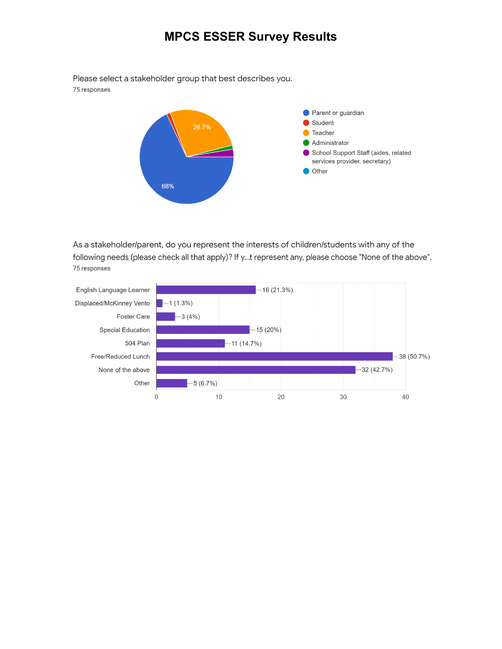## **MPCS ESSER Survey Results**

Please select a stakeholder group that best describes you.





As a stakeholder/parent, do you represent the interests of children/students with any of the following needs (please check all that apply)? If y...t represent any, please choose "None of the above". 75 responses

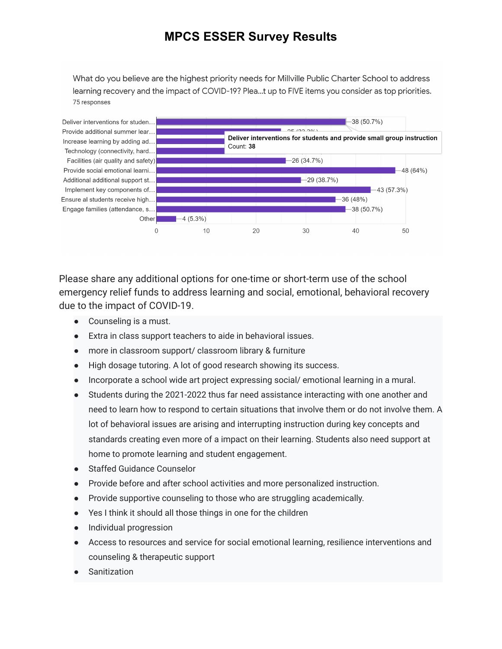## **MPCS ESSER Survey Results**

What do you believe are the highest priority needs for Millville Public Charter School to address learning recovery and the impact of COVID-19? Plea...t up to FIVE items you consider as top priorities. 75 responses



Please share any additional options for one-time or short-term use of the school emergency relief funds to address learning and social, emotional, behavioral recovery due to the impact of COVID-19.

- Counseling is a must.
- Extra in class support teachers to aide in behavioral issues.
- more in classroom support/ classroom library & furniture
- High dosage tutoring. A lot of good research showing its success.
- Incorporate a school wide art project expressing social/ emotional learning in a mural.
- Students during the 2021-2022 thus far need assistance interacting with one another and need to learn how to respond to certain situations that involve them or do not involve them. A lot of behavioral issues are arising and interrupting instruction during key concepts and standards creating even more of a impact on their learning. Students also need support at home to promote learning and student engagement.
- Staffed Guidance Counselor
- Provide before and after school activities and more personalized instruction.
- Provide supportive counseling to those who are struggling academically.
- Yes I think it should all those things in one for the children
- Individual progression
- Access to resources and service for social emotional learning, resilience interventions and counseling & therapeutic support
- Sanitization